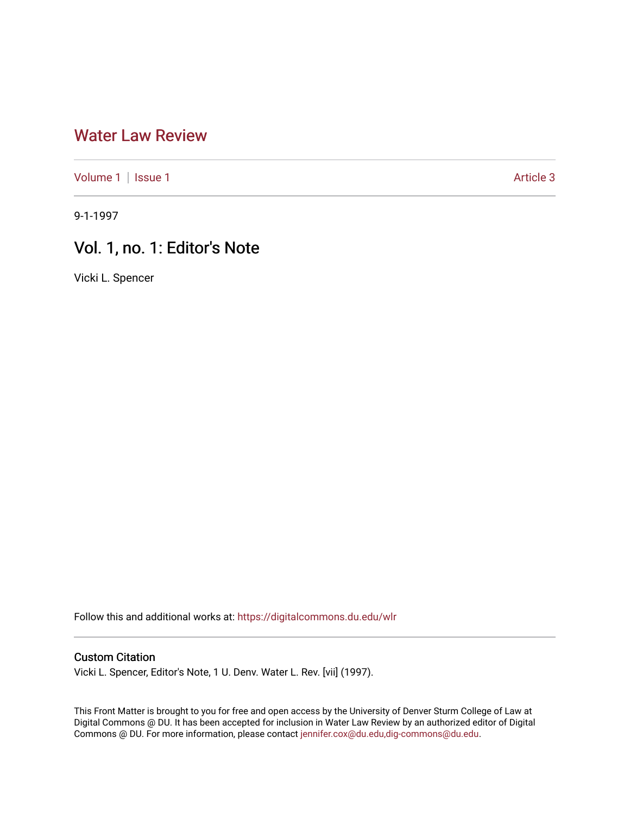## [Water Law Review](https://digitalcommons.du.edu/wlr)

[Volume 1](https://digitalcommons.du.edu/wlr/vol1) | [Issue 1](https://digitalcommons.du.edu/wlr/vol1/iss1) Article 3

9-1-1997

## Vol. 1, no. 1: Editor's Note

Vicki L. Spencer

Follow this and additional works at: [https://digitalcommons.du.edu/wlr](https://digitalcommons.du.edu/wlr?utm_source=digitalcommons.du.edu%2Fwlr%2Fvol1%2Fiss1%2F3&utm_medium=PDF&utm_campaign=PDFCoverPages) 

## Custom Citation

Vicki L. Spencer, Editor's Note, 1 U. Denv. Water L. Rev. [vii] (1997).

This Front Matter is brought to you for free and open access by the University of Denver Sturm College of Law at Digital Commons @ DU. It has been accepted for inclusion in Water Law Review by an authorized editor of Digital Commons @ DU. For more information, please contact [jennifer.cox@du.edu,dig-commons@du.edu.](mailto:jennifer.cox@du.edu,dig-commons@du.edu)